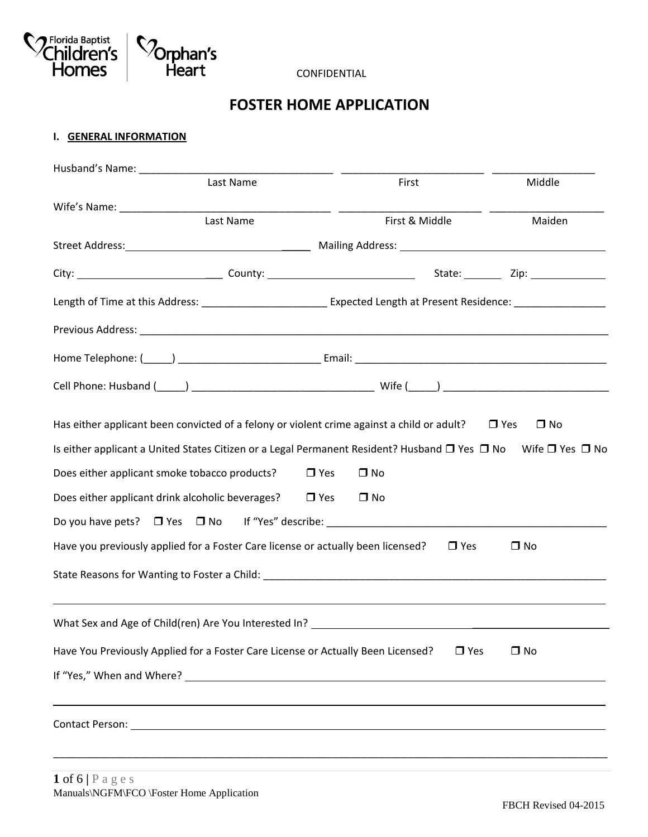

CONFIDENTIAL

# **FOSTER HOME APPLICATION**

### **I. GENERAL INFORMATION**

| Husband's Name: Name:                                                                                                                   |                         |            |                         |
|-----------------------------------------------------------------------------------------------------------------------------------------|-------------------------|------------|-------------------------|
| Last Name                                                                                                                               | First                   |            |                         |
|                                                                                                                                         |                         |            |                         |
| Last Name                                                                                                                               | First & Middle          |            | Maiden                  |
|                                                                                                                                         |                         |            |                         |
|                                                                                                                                         |                         |            |                         |
| Length of Time at this Address: _________________________________ Expected Length at Present Residence: _______________________________ |                         |            |                         |
|                                                                                                                                         |                         |            |                         |
|                                                                                                                                         |                         |            |                         |
|                                                                                                                                         |                         |            |                         |
| Has either applicant been convicted of a felony or violent crime against a child or adult?                                              |                         |            | $\Box$ Yes<br>$\Box$ No |
| Is either applicant a United States Citizen or a Legal Permanent Resident? Husband $\Box$ Yes $\Box$ No Wife $\Box$ Yes $\Box$ No       |                         |            |                         |
| Does either applicant smoke tobacco products?                                                                                           | $\Box$ No<br>$\Box$ Yes |            |                         |
| Does either applicant drink alcoholic beverages?                                                                                        | $\Box$ Yes<br>$\Box$ No |            |                         |
| Do you have pets? □ Yes □ No If "Yes" describe: ________________________________                                                        |                         |            |                         |
| Have you previously applied for a Foster Care license or actually been licensed?                                                        |                         | $\Box$ Yes | $\square$ No            |
|                                                                                                                                         |                         |            |                         |
| What Sex and Age of Child(ren) Are You Interested In? ___________________________                                                       |                         |            |                         |
| Have You Previously Applied for a Foster Care License or Actually Been Licensed?                                                        |                         | $\Box$ Yes | $\Box$ No               |
|                                                                                                                                         |                         |            |                         |
|                                                                                                                                         |                         |            |                         |
|                                                                                                                                         |                         |            |                         |
|                                                                                                                                         |                         |            |                         |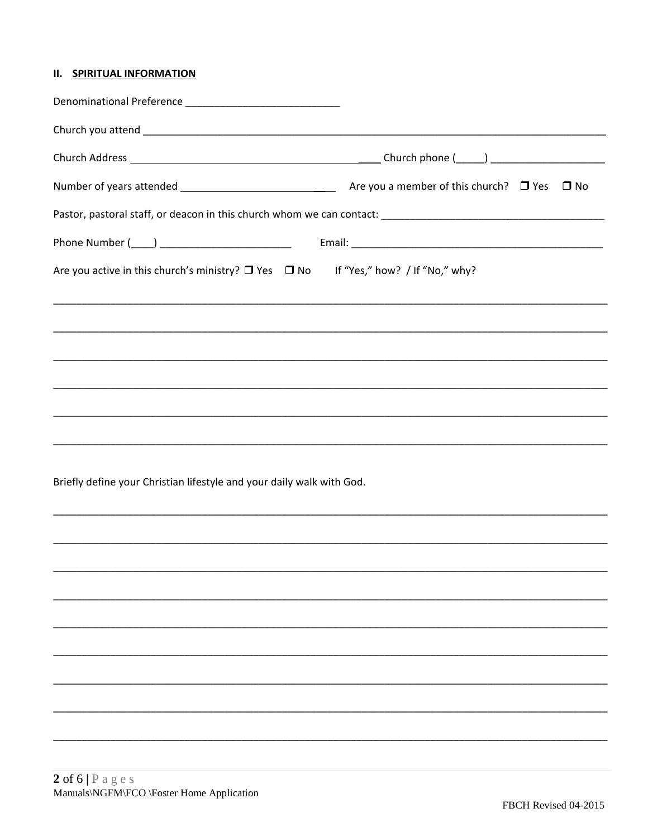# **II. SPIRITUAL INFORMATION**

|                                                                                     | $\Box$ No                                                                         |
|-------------------------------------------------------------------------------------|-----------------------------------------------------------------------------------|
|                                                                                     |                                                                                   |
|                                                                                     |                                                                                   |
| Are you active in this church's ministry? □ Yes □ No If "Yes," how? / If "No," why? |                                                                                   |
|                                                                                     |                                                                                   |
|                                                                                     |                                                                                   |
|                                                                                     |                                                                                   |
|                                                                                     |                                                                                   |
|                                                                                     | ,我们也不能在这里的人,我们也不能在这里的人,我们也不能在这里的人,我们也不能在这里的人,我们也不能在这里的人,我们也不能在这里的人,我们也不能在这里的人,我们也 |
| Briefly define your Christian lifestyle and your daily walk with God.               |                                                                                   |
|                                                                                     |                                                                                   |
|                                                                                     |                                                                                   |
|                                                                                     |                                                                                   |
|                                                                                     |                                                                                   |
|                                                                                     |                                                                                   |
|                                                                                     |                                                                                   |
|                                                                                     |                                                                                   |
|                                                                                     |                                                                                   |
|                                                                                     |                                                                                   |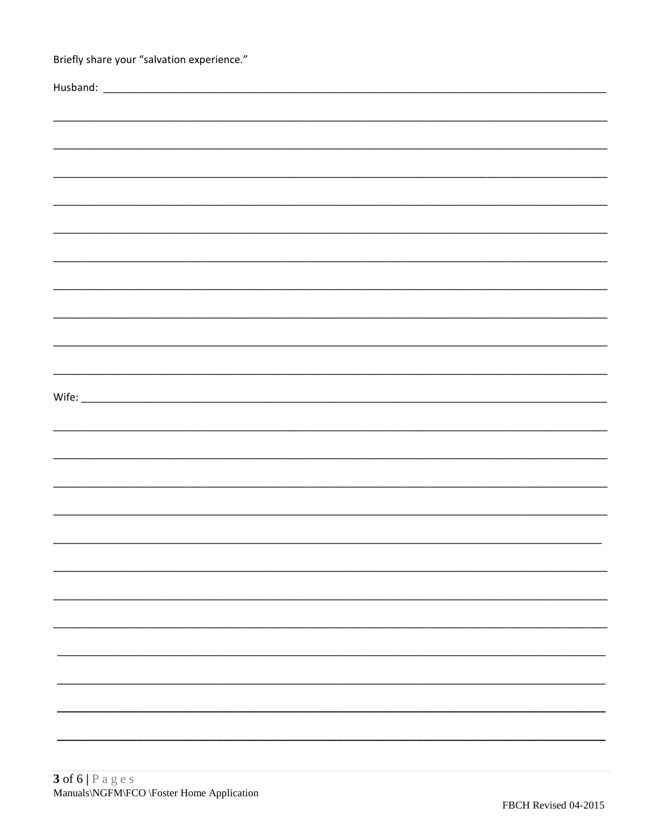| Briefly share your "salvation experience." |  |
|--------------------------------------------|--|
|                                            |  |
|                                            |  |
|                                            |  |
|                                            |  |
|                                            |  |
|                                            |  |
|                                            |  |
|                                            |  |
|                                            |  |
|                                            |  |
|                                            |  |
|                                            |  |
|                                            |  |
|                                            |  |
|                                            |  |
|                                            |  |
|                                            |  |
|                                            |  |
|                                            |  |
|                                            |  |
|                                            |  |
|                                            |  |
|                                            |  |
|                                            |  |
|                                            |  |
|                                            |  |
|                                            |  |
|                                            |  |
|                                            |  |
|                                            |  |
|                                            |  |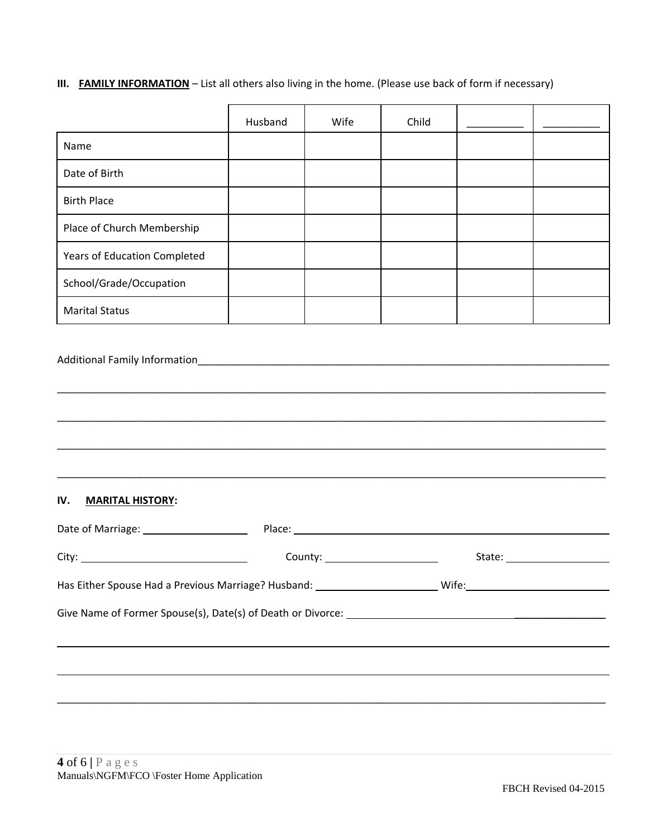# **III. FAMILY INFORMATION** – List all others also living in the home. (Please use back of form if necessary)

|                                                                                                                | Husband | Wife                            | Child |  |
|----------------------------------------------------------------------------------------------------------------|---------|---------------------------------|-------|--|
| Name                                                                                                           |         |                                 |       |  |
| Date of Birth                                                                                                  |         |                                 |       |  |
| <b>Birth Place</b>                                                                                             |         |                                 |       |  |
| Place of Church Membership                                                                                     |         |                                 |       |  |
| Years of Education Completed                                                                                   |         |                                 |       |  |
| School/Grade/Occupation                                                                                        |         |                                 |       |  |
| <b>Marital Status</b>                                                                                          |         |                                 |       |  |
| IV.<br><b>MARITAL HISTORY:</b>                                                                                 |         |                                 |       |  |
| Date of Marriage: _____________________                                                                        |         |                                 |       |  |
|                                                                                                                |         | County: _______________________ |       |  |
| Has Either Spouse Had a Previous Marriage? Husband: ___________________________Wife: _________________________ |         |                                 |       |  |
| ,我们也不会有什么。""我们的人,我们也不会有什么?""我们的人,我们也不会有什么?""我们的人,我们也不会有什么?""我们的人,我们也不会有什么?""我们的人                               |         |                                 |       |  |
| ,我们也不会有什么。""我们的人,我们也不会有什么?""我们的人,我们也不会有什么?""我们的人,我们也不会有什么?""我们的人,我们也不会有什么?""我们的人                               |         |                                 |       |  |
|                                                                                                                |         |                                 |       |  |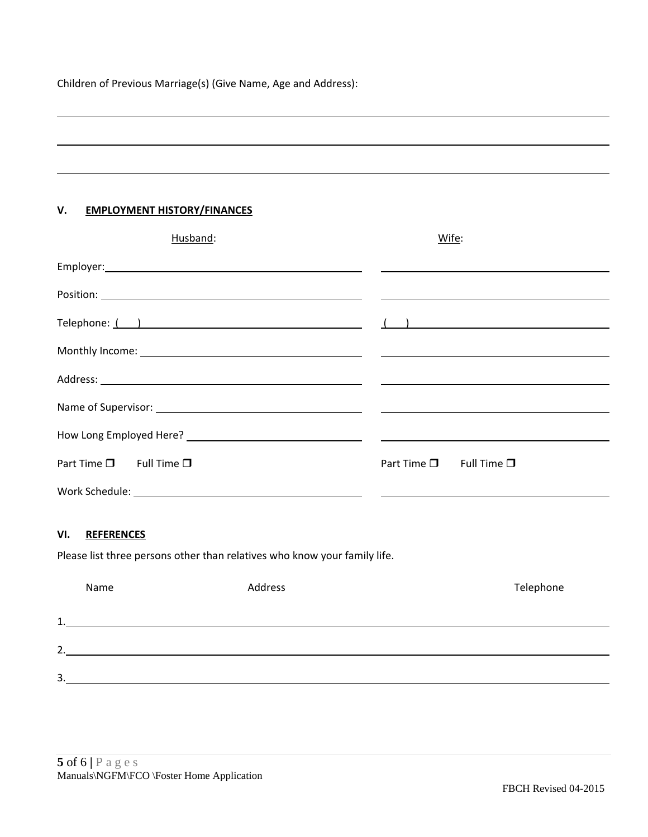Children of Previous Marriage(s) (Give Name, Age and Address):

## **V. EMPLOYMENT HISTORY/FINANCES**

| Husband:                                | Wife:                                   |
|-----------------------------------------|-----------------------------------------|
|                                         |                                         |
|                                         |                                         |
| Telephone: $($ )                        |                                         |
|                                         |                                         |
|                                         |                                         |
|                                         |                                         |
|                                         |                                         |
| Part Time $\square$ Full Time $\square$ | Part Time $\square$ Full Time $\square$ |
|                                         |                                         |

### **VI. REFERENCES**

Please list three persons other than relatives who know your family life.

| Name    | Address | Telephone |
|---------|---------|-----------|
| 1<br>ᅩ. |         |           |
| 2.      |         |           |
| 3.      |         |           |